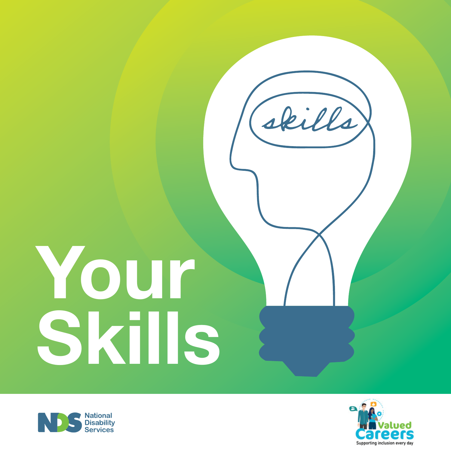# **Your Skills**





skills)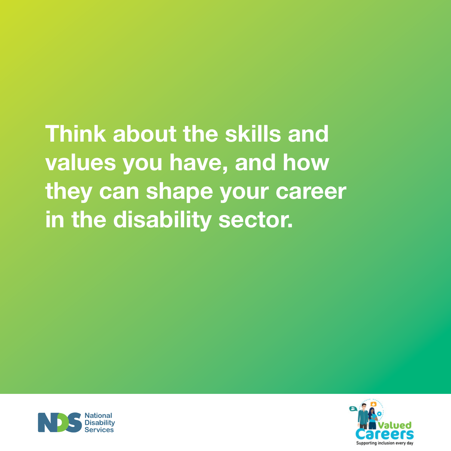**Think about the skills and values you have, and how they can shape your career in the disability sector.**



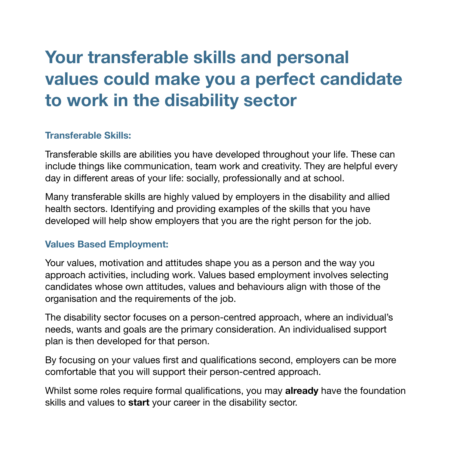## **Your transferable skills and personal values could make you a perfect candidate to work in the disability sector**

#### **Transferable Skills:**

Transferable skills are abilities you have developed throughout your life. These can include things like communication, team work and creativity. They are helpful every day in different areas of your life: socially, professionally and at school.

Many transferable skills are highly valued by employers in the disability and allied health sectors. Identifying and providing examples of the skills that you have developed will help show employers that you are the right person for the job.

#### **Values Based Employment:**

Your values, motivation and attitudes shape you as a person and the way you approach activities, including work. Values based employment involves selecting candidates whose own attitudes, values and behaviours align with those of the organisation and the requirements of the job.

The disability sector focuses on a person-centred approach, where an individual's needs, wants and goals are the primary consideration. An individualised support plan is then developed for that person.

By focusing on your values first and qualifications second, employers can be more comfortable that you will support their person-centred approach.

Whilst some roles require formal qualifications, you may **already** have the foundation skills and values to **start** your career in the disability sector.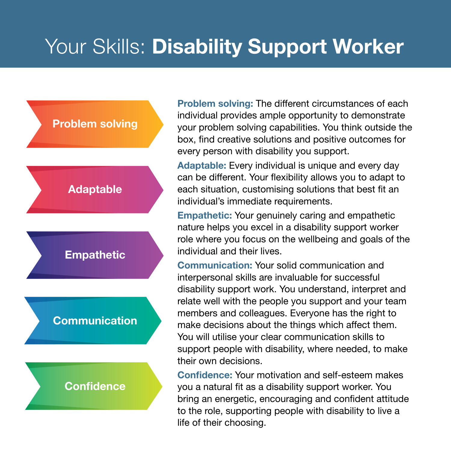## Your Skills: **Disability Support Worker**

#### **Problem solving**



### **Communication**

**Confidence**

**Problem solving:** The different circumstances of each individual provides ample opportunity to demonstrate your problem solving capabilities. You think outside the box, find creative solutions and positive outcomes for every person with disability you support.

**Adaptable:** Every individual is unique and every day can be different. Your flexibility allows you to adapt to each situation, customising solutions that best fit an individual's immediate requirements.

**Empathetic:** Your genuinely caring and empathetic nature helps you excel in a disability support worker role where you focus on the wellbeing and goals of the individual and their lives.

**Communication:** Your solid communication and interpersonal skills are invaluable for successful disability support work. You understand, interpret and relate well with the people you support and your team members and colleagues. Everyone has the right to make decisions about the things which affect them. You will utilise your clear communication skills to support people with disability, where needed, to make their own decisions.

**Confidence:** Your motivation and self-esteem makes you a natural fit as a disability support worker. You bring an energetic, encouraging and confident attitude to the role, supporting people with disability to live a life of their choosing.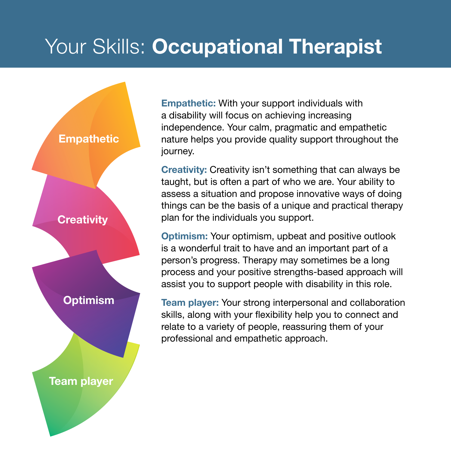## Your Skills: **Occupational Therapist**



**Empathetic:** With your support individuals with a disability will focus on achieving increasing independence. Your calm, pragmatic and empathetic nature helps you provide quality support throughout the journey.

**Creativity:** Creativity isn't something that can always be taught, but is often a part of who we are. Your ability to assess a situation and propose innovative ways of doing things can be the basis of a unique and practical therapy plan for the individuals you support.

**Optimism:** Your optimism, upbeat and positive outlook is a wonderful trait to have and an important part of a person's progress. Therapy may sometimes be a long process and your positive strengths-based approach will assist you to support people with disability in this role.

**Team player:** Your strong interpersonal and collaboration skills, along with your flexibility help you to connect and relate to a variety of people, reassuring them of your professional and empathetic approach.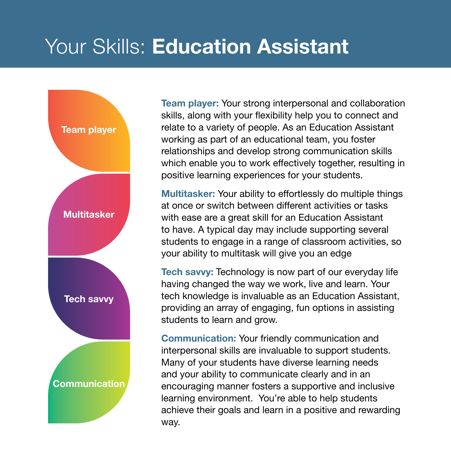## Your Skills: **Education Assistant**

![](_page_5_Figure_1.jpeg)

**Team player:** Your strong interpersonal and collaboration skills, along with your flexibility help you to connect and relate to a variety of people. As an Education Assistant working as part of an educational team, you foster relationships and develop strong communication skills which enable you to work effectively together, resulting in positive learning experiences for your students.

**Multitasker:** Your ability to effortlessly do multiple things at once or switch between different activities or tasks with ease are a great skill for an Education Assistant to have. A typical day may include supporting several students to engage in a range of classroom activities, so your ability to multitask will give you an edge

**Tech savvy:** Technology is now part of our everyday life having changed the way we work, live and learn. Your tech knowledge is invaluable as an Education Assistant, providing an array of engaging, fun options in assisting students to learn and grow.

**Communication:** Your friendly communication and interpersonal skills are invaluable to support students. Many of your students have diverse learning needs and your ability to communicate clearly and in an encouraging manner fosters a supportive and inclusive learning environment. You're able to help students achieve their goals and learn in a positive and rewarding way.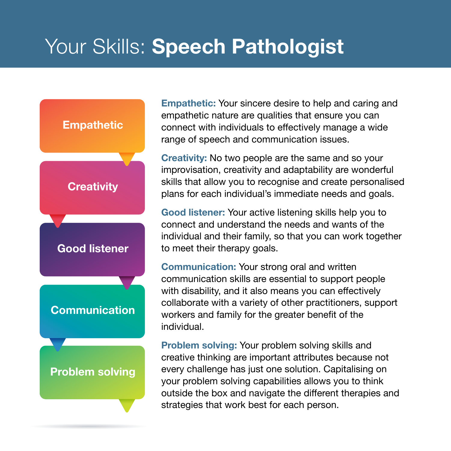## Your Skills: **Speech Pathologist**

![](_page_6_Figure_1.jpeg)

**Empathetic:** Your sincere desire to help and caring and empathetic nature are qualities that ensure you can connect with individuals to effectively manage a wide range of speech and communication issues.

**Creativity:** No two people are the same and so your improvisation, creativity and adaptability are wonderful skills that allow you to recognise and create personalised plans for each individual's immediate needs and goals.

**Good listener:** Your active listening skills help you to connect and understand the needs and wants of the individual and their family, so that you can work together to meet their therapy goals.

**Communication:** Your strong oral and written communication skills are essential to support people with disability, and it also means you can effectively collaborate with a variety of other practitioners, support workers and family for the greater benefit of the individual.

**Problem solving:** Your problem solving skills and creative thinking are important attributes because not every challenge has just one solution. Capitalising on your problem solving capabilities allows you to think outside the box and navigate the different therapies and strategies that work best for each person.